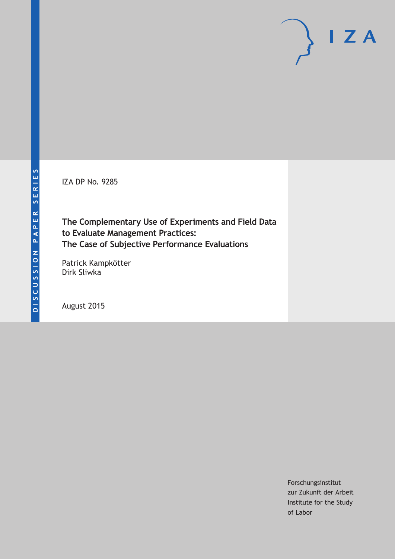IZA DP No. 9285

**The Complementary Use of Experiments and Field Data to Evaluate Management Practices: The Case of Subjective Performance Evaluations**

Patrick Kampkötter Dirk Sliwka

August 2015

Forschungsinstitut zur Zukunft der Arbeit Institute for the Study of Labor

 $I Z A$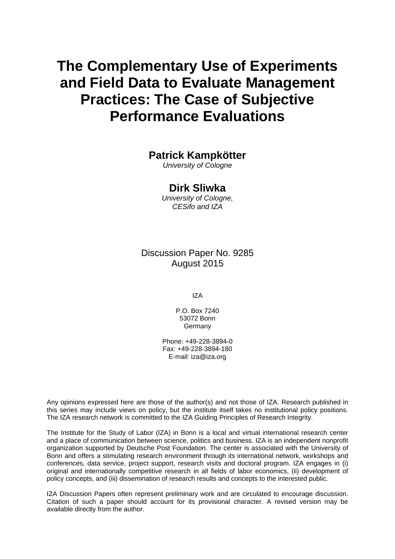# **The Complementary Use of Experiments and Field Data to Evaluate Management Practices: The Case of Subjective Performance Evaluations**

## **Patrick Kampkötter**

*University of Cologne* 

### **Dirk Sliwka**

*University of Cologne, CESifo and IZA* 

Discussion Paper No. 9285 August 2015

IZA

P.O. Box 7240 53072 Bonn **Germany** 

Phone: +49-228-3894-0 Fax: +49-228-3894-180 E-mail: iza@iza.org

Any opinions expressed here are those of the author(s) and not those of IZA. Research published in this series may include views on policy, but the institute itself takes no institutional policy positions. The IZA research network is committed to the IZA Guiding Principles of Research Integrity.

The Institute for the Study of Labor (IZA) in Bonn is a local and virtual international research center and a place of communication between science, politics and business. IZA is an independent nonprofit organization supported by Deutsche Post Foundation. The center is associated with the University of Bonn and offers a stimulating research environment through its international network, workshops and conferences, data service, project support, research visits and doctoral program. IZA engages in (i) original and internationally competitive research in all fields of labor economics, (ii) development of policy concepts, and (iii) dissemination of research results and concepts to the interested public.

IZA Discussion Papers often represent preliminary work and are circulated to encourage discussion. Citation of such a paper should account for its provisional character. A revised version may be available directly from the author.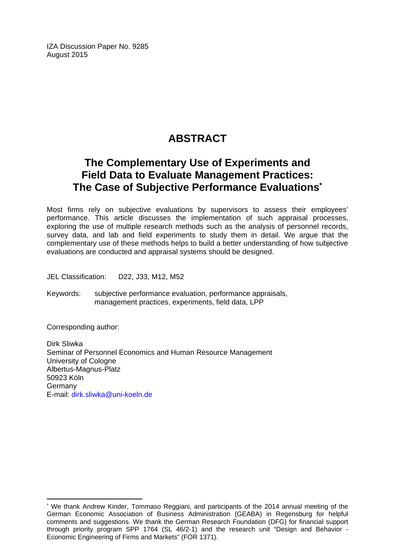IZA Discussion Paper No. 9285 August 2015

# **ABSTRACT**

# **The Complementary Use of Experiments and Field Data to Evaluate Management Practices: The Case of Subjective Performance Evaluations\***

Most firms rely on subjective evaluations by supervisors to assess their employees' performance. This article discusses the implementation of such appraisal processes, exploring the use of multiple research methods such as the analysis of personnel records, survey data, and lab and field experiments to study them in detail. We argue that the complementary use of these methods helps to build a better understanding of how subjective evaluations are conducted and appraisal systems should be designed.

JEL Classification: D22, J33, M12, M52

Keywords: subjective performance evaluation, performance appraisals, management practices, experiments, field data, LPP

Corresponding author:

 $\overline{a}$ 

Dirk Sliwka Seminar of Personnel Economics and Human Resource Management University of Cologne Albertus-Magnus-Platz 50923 Köln Germany E-mail: dirk.sliwka@uni-koeln.de

<sup>\*</sup> We thank Andrew Kinder, Tommaso Reggiani, and participants of the 2014 annual meeting of the German Economic Association of Business Administration (GEABA) in Regensburg for helpful comments and suggestions. We thank the German Research Foundation (DFG) for financial support through priority program SPP 1764 (SL 46/2-1) and the research unit "Design and Behavior - Economic Engineering of Firms and Markets" (FOR 1371).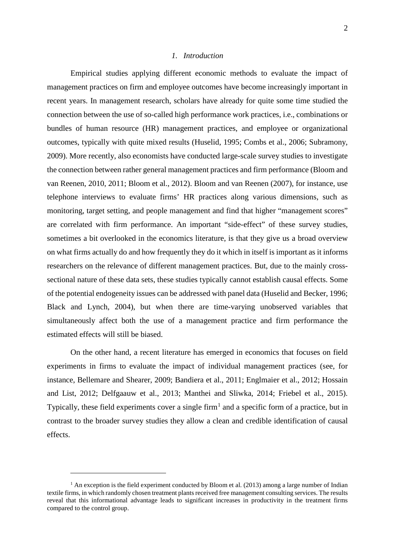#### *1. Introduction*

Empirical studies applying different economic methods to evaluate the impact of management practices on firm and employee outcomes have become increasingly important in recent years. In management research, scholars have already for quite some time studied the connection between the use of so-called high performance work practices, i.e., combinations or bundles of human resource (HR) management practices, and employee or organizational outcomes, typically with quite mixed results (Huselid, 1995; Combs et al., 2006; Subramony, 2009). More recently, also economists have conducted large-scale survey studies to investigate the connection between rather general management practices and firm performance (Bloom and van Reenen, 2010, 2011; Bloom et al., 2012). Bloom and van Reenen (2007), for instance, use telephone interviews to evaluate firms' HR practices along various dimensions, such as monitoring, target setting, and people management and find that higher "management scores" are correlated with firm performance. An important "side-effect" of these survey studies, sometimes a bit overlooked in the economics literature, is that they give us a broad overview on what firms actually do and how frequently they do it which in itself is important as it informs researchers on the relevance of different management practices. But, due to the mainly crosssectional nature of these data sets, these studies typically cannot establish causal effects. Some of the potential endogeneity issues can be addressed with panel data (Huselid and Becker, 1996; Black and Lynch, 2004), but when there are time-varying unobserved variables that simultaneously affect both the use of a management practice and firm performance the estimated effects will still be biased.

On the other hand, a recent literature has emerged in economics that focuses on field experiments in firms to evaluate the impact of individual management practices (see, for instance, Bellemare and Shearer, 2009; Bandiera et al., 2011; Englmaier et al., 2012; Hossain and List, 2012; Delfgaauw et al., 2013; Manthei and Sliwka, 2014; Friebel et al., 2015). Typically, these field experiments cover a single firm<sup>[1](#page-3-0)</sup> and a specific form of a practice, but in contrast to the broader survey studies they allow a clean and credible identification of causal effects.

<span id="page-3-0"></span> $<sup>1</sup>$  An exception is the field experiment conducted by Bloom et al. (2013) among a large number of Indian</sup> textile firms, in which randomly chosen treatment plants received free management consulting services. The results reveal that this informational advantage leads to significant increases in productivity in the treatment firms compared to the control group.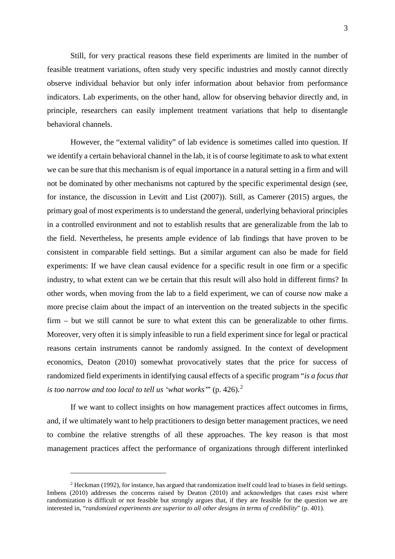Still, for very practical reasons these field experiments are limited in the number of feasible treatment variations, often study very specific industries and mostly cannot directly observe individual behavior but only infer information about behavior from performance indicators. Lab experiments, on the other hand, allow for observing behavior directly and, in principle, researchers can easily implement treatment variations that help to disentangle behavioral channels.

However, the "external validity" of lab evidence is sometimes called into question. If we identify a certain behavioral channel in the lab, it is of course legitimate to ask to what extent we can be sure that this mechanism is of equal importance in a natural setting in a firm and will not be dominated by other mechanisms not captured by the specific experimental design (see, for instance, the discussion in Levitt and List (2007)). Still, as Camerer (2015) argues, the primary goal of most experiments is to understand the general, underlying behavioral principles in a controlled environment and not to establish results that are generalizable from the lab to the field. Nevertheless, he presents ample evidence of lab findings that have proven to be consistent in comparable field settings. But a similar argument can also be made for field experiments: If we have clean causal evidence for a specific result in one firm or a specific industry, to what extent can we be certain that this result will also hold in different firms? In other words, when moving from the lab to a field experiment, we can of course now make a more precise claim about the impact of an intervention on the treated subjects in the specific firm – but we still cannot be sure to what extent this can be generalizable to other firms. Moreover, very often it is simply infeasible to run a field experiment since for legal or practical reasons certain instruments cannot be randomly assigned. In the context of development economics, Deaton (2010) somewhat provocatively states that the price for success of randomized field experiments in identifying causal effects of a specific program "*is a focus that is too narrow and too local to tell us 'what works'*" (p. 426). [2](#page-4-0)

If we want to collect insights on how management practices affect outcomes in firms, and, if we ultimately want to help practitioners to design better management practices, we need to combine the relative strengths of all these approaches. The key reason is that most management practices affect the performance of organizations through different interlinked

<span id="page-4-0"></span><sup>2</sup> Heckman (1992), for instance, has argued that randomization itself could lead to biases in field settings. Imbens (2010) addresses the concerns raised by Deaton (2010) and acknowledges that cases exist where randomization is difficult or not feasible but strongly argues that, if they are feasible for the question we are interested in, "*randomized experiments are superior to all other designs in terms of credibility*" (p. 401).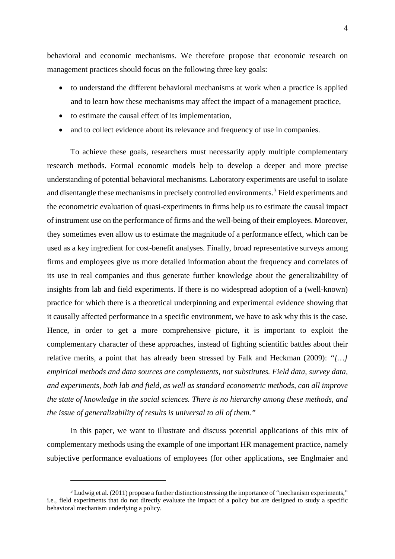behavioral and economic mechanisms. We therefore propose that economic research on management practices should focus on the following three key goals:

- to understand the different behavioral mechanisms at work when a practice is applied and to learn how these mechanisms may affect the impact of a management practice,
- to estimate the causal effect of its implementation,
- and to collect evidence about its relevance and frequency of use in companies.

To achieve these goals, researchers must necessarily apply multiple complementary research methods. Formal economic models help to develop a deeper and more precise understanding of potential behavioral mechanisms. Laboratory experiments are useful to isolate and disentangle these mechanisms in precisely controlled environments. [3](#page-5-0) Field experiments and the econometric evaluation of quasi-experiments in firms help us to estimate the causal impact of instrument use on the performance of firms and the well-being of their employees. Moreover, they sometimes even allow us to estimate the magnitude of a performance effect, which can be used as a key ingredient for cost-benefit analyses. Finally, broad representative surveys among firms and employees give us more detailed information about the frequency and correlates of its use in real companies and thus generate further knowledge about the generalizability of insights from lab and field experiments. If there is no widespread adoption of a (well-known) practice for which there is a theoretical underpinning and experimental evidence showing that it causally affected performance in a specific environment, we have to ask why this is the case. Hence, in order to get a more comprehensive picture, it is important to exploit the complementary character of these approaches, instead of fighting scientific battles about their relative merits, a point that has already been stressed by Falk and Heckman (2009): *"[…] empirical methods and data sources are complements, not substitutes. Field data, survey data, and experiments, both lab and field, as well as standard econometric methods, can all improve the state of knowledge in the social sciences. There is no hierarchy among these methods, and the issue of generalizability of results is universal to all of them."*

In this paper, we want to illustrate and discuss potential applications of this mix of complementary methods using the example of one important HR management practice, namely subjective performance evaluations of employees (for other applications, see Englmaier and

<span id="page-5-0"></span><sup>&</sup>lt;sup>3</sup> Ludwig et al. (2011) propose a further distinction stressing the importance of "mechanism experiments," i.e., field experiments that do not directly evaluate the impact of a policy but are designed to study a specific behavioral mechanism underlying a policy.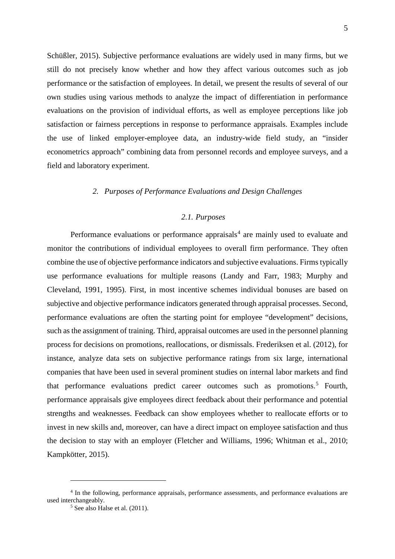Schüßler, 2015). Subjective performance evaluations are widely used in many firms, but we still do not precisely know whether and how they affect various outcomes such as job performance or the satisfaction of employees. In detail, we present the results of several of our own studies using various methods to analyze the impact of differentiation in performance evaluations on the provision of individual efforts, as well as employee perceptions like job satisfaction or fairness perceptions in response to performance appraisals. Examples include the use of linked employer-employee data, an industry-wide field study, an "insider econometrics approach" combining data from personnel records and employee surveys, and a field and laboratory experiment.

#### *2. Purposes of Performance Evaluations and Design Challenges*

#### *2.1. Purposes*

Performance evaluations or performance appraisals<sup>[4](#page-6-0)</sup> are mainly used to evaluate and monitor the contributions of individual employees to overall firm performance. They often combine the use of objective performance indicators and subjective evaluations. Firms typically use performance evaluations for multiple reasons (Landy and Farr, 1983; Murphy and Cleveland, 1991, 1995). First, in most incentive schemes individual bonuses are based on subjective and objective performance indicators generated through appraisal processes. Second, performance evaluations are often the starting point for employee "development" decisions, such as the assignment of training. Third, appraisal outcomes are used in the personnel planning process for decisions on promotions, reallocations, or dismissals. Frederiksen et al. (2012), for instance, analyze data sets on subjective performance ratings from six large, international companies that have been used in several prominent studies on internal labor markets and find that performance evaluations predict career outcomes such as promotions. [5](#page-6-1) Fourth, performance appraisals give employees direct feedback about their performance and potential strengths and weaknesses. Feedback can show employees whether to reallocate efforts or to invest in new skills and, moreover, can have a direct impact on employee satisfaction and thus the decision to stay with an employer (Fletcher and Williams, 1996; Whitman et al., 2010; Kampkötter, 2015).

<span id="page-6-1"></span><span id="page-6-0"></span><sup>4</sup> In the following, performance appraisals, performance assessments, and performance evaluations are used interchangeably.

<sup>5</sup> See also Halse et al. (2011).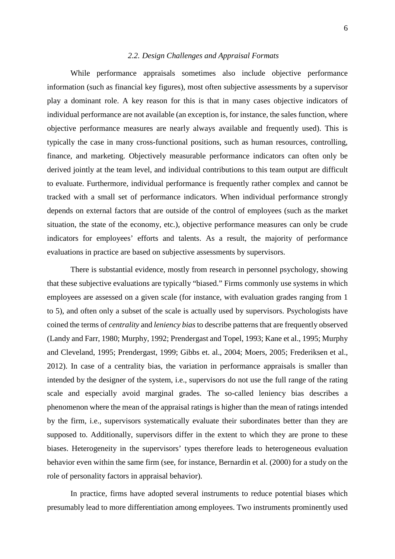#### *2.2. Design Challenges and Appraisal Formats*

While performance appraisals sometimes also include objective performance information (such as financial key figures), most often subjective assessments by a supervisor play a dominant role. A key reason for this is that in many cases objective indicators of individual performance are not available (an exception is, for instance, the sales function, where objective performance measures are nearly always available and frequently used). This is typically the case in many cross-functional positions, such as human resources, controlling, finance, and marketing. Objectively measurable performance indicators can often only be derived jointly at the team level, and individual contributions to this team output are difficult to evaluate. Furthermore, individual performance is frequently rather complex and cannot be tracked with a small set of performance indicators. When individual performance strongly depends on external factors that are outside of the control of employees (such as the market situation, the state of the economy, etc.), objective performance measures can only be crude indicators for employees' efforts and talents. As a result, the majority of performance evaluations in practice are based on subjective assessments by supervisors.

There is substantial evidence, mostly from research in personnel psychology, showing that these subjective evaluations are typically "biased." Firms commonly use systems in which employees are assessed on a given scale (for instance, with evaluation grades ranging from 1 to 5), and often only a subset of the scale is actually used by supervisors. Psychologists have coined the terms of *centrality* and *leniency bias* to describe patterns that are frequently observed (Landy and Farr, 1980; Murphy, 1992; Prendergast and Topel, 1993; Kane et al., 1995; Murphy and Cleveland, 1995; Prendergast, 1999; Gibbs et. al., 2004; Moers, 2005; Frederiksen et al., 2012). In case of a centrality bias, the variation in performance appraisals is smaller than intended by the designer of the system, i.e., supervisors do not use the full range of the rating scale and especially avoid marginal grades. The so-called leniency bias describes a phenomenon where the mean of the appraisal ratings is higher than the mean of ratings intended by the firm, i.e., supervisors systematically evaluate their subordinates better than they are supposed to. Additionally, supervisors differ in the extent to which they are prone to these biases. Heterogeneity in the supervisors' types therefore leads to heterogeneous evaluation behavior even within the same firm (see, for instance, Bernardin et al. (2000) for a study on the role of personality factors in appraisal behavior).

In practice, firms have adopted several instruments to reduce potential biases which presumably lead to more differentiation among employees. Two instruments prominently used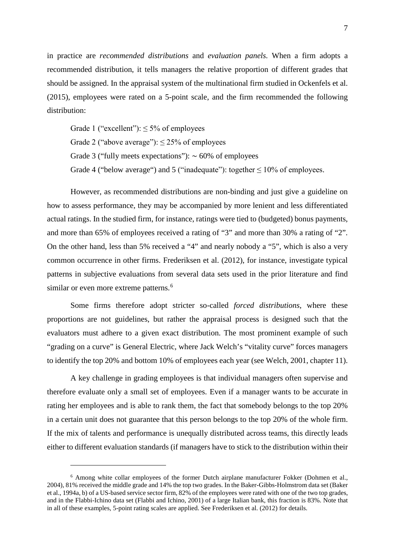in practice are *recommended distributions* and *evaluation panels.* When a firm adopts a recommended distribution, it tells managers the relative proportion of different grades that should be assigned. In the appraisal system of the multinational firm studied in Ockenfels et al. (2015), employees were rated on a 5-point scale, and the firm recommended the following distribution:

Grade 1 ("excellent"):  $\leq 5\%$  of employees Grade 2 ("above average"):  $\leq$  25% of employees Grade 3 ("fully meets expectations"):  $\sim 60\%$  of employees Grade 4 ("below average") and 5 ("inadequate"): together  $\leq 10\%$  of employees.

However, as recommended distributions are non-binding and just give a guideline on how to assess performance, they may be accompanied by more lenient and less differentiated actual ratings. In the studied firm, for instance, ratings were tied to (budgeted) bonus payments, and more than 65% of employees received a rating of "3" and more than 30% a rating of "2". On the other hand, less than 5% received a "4" and nearly nobody a "5", which is also a very common occurrence in other firms. Frederiksen et al. (2012), for instance, investigate typical patterns in subjective evaluations from several data sets used in the prior literature and find similar or even more extreme patterns.<sup>[6](#page-8-0)</sup>

Some firms therefore adopt stricter so-called *forced distributions*, where these proportions are not guidelines, but rather the appraisal process is designed such that the evaluators must adhere to a given exact distribution. The most prominent example of such "grading on a curve" is General Electric, where Jack Welch's "vitality curve" forces managers to identify the top 20% and bottom 10% of employees each year (see Welch, 2001, chapter 11).

A key challenge in grading employees is that individual managers often supervise and therefore evaluate only a small set of employees. Even if a manager wants to be accurate in rating her employees and is able to rank them, the fact that somebody belongs to the top 20% in a certain unit does not guarantee that this person belongs to the top 20% of the whole firm. If the mix of talents and performance is unequally distributed across teams, this directly leads either to different evaluation standards (if managers have to stick to the distribution within their

<span id="page-8-0"></span><sup>6</sup> Among white collar employees of the former Dutch airplane manufacturer Fokker (Dohmen et al., 2004), 81% received the middle grade and 14% the top two grades. In the Baker-Gibbs-Holmstrom data set (Baker et al., 1994a, b) of a US-based service sector firm, 82% of the employees were rated with one of the two top grades, and in the Flabbi-Ichino data set (Flabbi and Ichino, 2001) of a large Italian bank, this fraction is 83%. Note that in all of these examples, 5-point rating scales are applied. See Frederiksen et al. (2012) for details.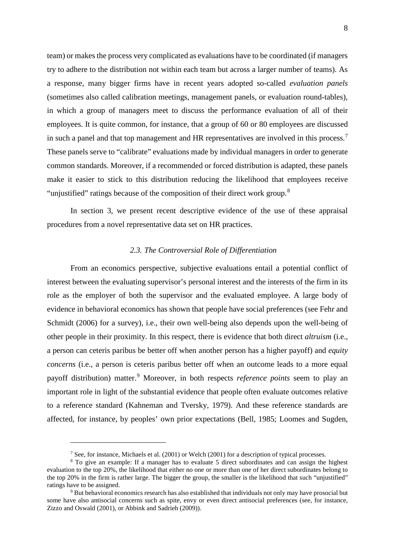team) or makes the process very complicated as evaluations have to be coordinated (if managers try to adhere to the distribution not within each team but across a larger number of teams). As a response, many bigger firms have in recent years adopted so-called *evaluation panels* (sometimes also called calibration meetings, management panels, or evaluation round-tables), in which a group of managers meet to discuss the performance evaluation of all of their employees. It is quite common, for instance, that a group of 60 or 80 employees are discussed in such a panel and that top management and HR representatives are involved in this process.<sup>[7](#page-9-0)</sup> These panels serve to "calibrate" evaluations made by individual managers in order to generate common standards. Moreover, if a recommended or forced distribution is adapted, these panels make it easier to stick to this distribution reducing the likelihood that employees receive "unjustified" ratings because of the composition of their direct work group.<sup>[8](#page-9-1)</sup>

In section 3, we present recent descriptive evidence of the use of these appraisal procedures from a novel representative data set on HR practices.

#### *2.3. The Controversial Role of Differentiation*

From an economics perspective, subjective evaluations entail a potential conflict of interest between the evaluating supervisor's personal interest and the interests of the firm in its role as the employer of both the supervisor and the evaluated employee. A large body of evidence in behavioral economics has shown that people have social preferences (see Fehr and Schmidt (2006) for a survey), i.e., their own well-being also depends upon the well-being of other people in their proximity. In this respect, there is evidence that both direct *altruism* (i.e., a person can ceteris paribus be better off when another person has a higher payoff) and *equity concerns* (i.e., a person is ceteris paribus better off when an outcome leads to a more equal payoff distribution) matter.[9](#page-9-2) Moreover, in both respects *reference points* seem to play an important role in light of the substantial evidence that people often evaluate outcomes relative to a reference standard (Kahneman and Tversky, 1979). And these reference standards are affected, for instance, by peoples' own prior expectations (Bell, 1985; Loomes and Sugden,

<sup>7</sup> See, for instance, Michaels et al. (2001) or Welch (2001) for a description of typical processes.

<span id="page-9-1"></span><span id="page-9-0"></span><sup>&</sup>lt;sup>8</sup> To give an example: If a manager has to evaluate 5 direct subordinates and can assign the highest evaluation to the top 20%, the likelihood that either no one or more than one of her direct subordinates belong to the top 20% in the firm is rather large. The bigger the group, the smaller is the likelihood that such "unjustified" ratings have to be assigned.

<span id="page-9-2"></span><sup>9</sup> But behavioral economics research has also established that individuals not only may have prosocial but some have also antisocial concerns such as spite, envy or even direct antisocial preferences (see, for instance, Zizzo and Oswald (2001), or Abbink and Sadrieh (2009)).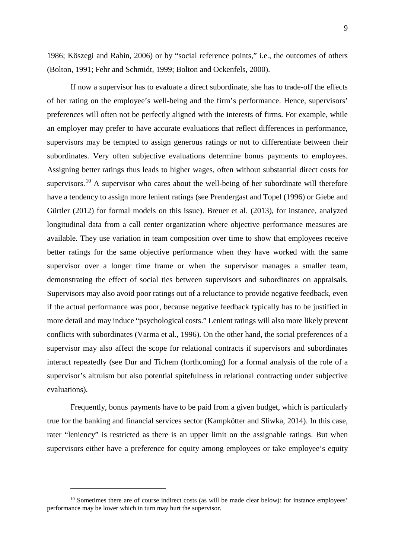1986; Köszegi and Rabin, 2006) or by "social reference points," i.e., the outcomes of others (Bolton, 1991; Fehr and Schmidt, 1999; Bolton and Ockenfels, 2000).

If now a supervisor has to evaluate a direct subordinate, she has to trade-off the effects of her rating on the employee's well-being and the firm's performance. Hence, supervisors' preferences will often not be perfectly aligned with the interests of firms. For example, while an employer may prefer to have accurate evaluations that reflect differences in performance, supervisors may be tempted to assign generous ratings or not to differentiate between their subordinates. Very often subjective evaluations determine bonus payments to employees. Assigning better ratings thus leads to higher wages, often without substantial direct costs for supervisors.<sup>[10](#page-10-0)</sup> A supervisor who cares about the well-being of her subordinate will therefore have a tendency to assign more lenient ratings (see Prendergast and Topel (1996) or Giebe and Gürtler (2012) for formal models on this issue). Breuer et al. (2013), for instance, analyzed longitudinal data from a call center organization where objective performance measures are available. They use variation in team composition over time to show that employees receive better ratings for the same objective performance when they have worked with the same supervisor over a longer time frame or when the supervisor manages a smaller team, demonstrating the effect of social ties between supervisors and subordinates on appraisals. Supervisors may also avoid poor ratings out of a reluctance to provide negative feedback, even if the actual performance was poor, because negative feedback typically has to be justified in more detail and may induce "psychological costs." Lenient ratings will also more likely prevent conflicts with subordinates (Varma et al., 1996). On the other hand, the social preferences of a supervisor may also affect the scope for relational contracts if supervisors and subordinates interact repeatedly (see Dur and Tichem (forthcoming) for a formal analysis of the role of a supervisor's altruism but also potential spitefulness in relational contracting under subjective evaluations).

Frequently, bonus payments have to be paid from a given budget, which is particularly true for the banking and financial services sector (Kampkötter and Sliwka, 2014). In this case, rater "leniency" is restricted as there is an upper limit on the assignable ratings. But when supervisors either have a preference for equity among employees or take employee's equity

<span id="page-10-0"></span><sup>&</sup>lt;sup>10</sup> Sometimes there are of course indirect costs (as will be made clear below): for instance employees' performance may be lower which in turn may hurt the supervisor.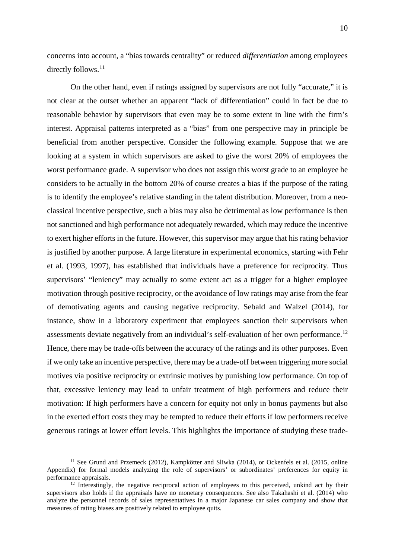concerns into account, a "bias towards centrality" or reduced *differentiation* among employees directly follows.<sup>[11](#page-11-0)</sup>

On the other hand, even if ratings assigned by supervisors are not fully "accurate," it is not clear at the outset whether an apparent "lack of differentiation" could in fact be due to reasonable behavior by supervisors that even may be to some extent in line with the firm's interest. Appraisal patterns interpreted as a "bias" from one perspective may in principle be beneficial from another perspective. Consider the following example. Suppose that we are looking at a system in which supervisors are asked to give the worst 20% of employees the worst performance grade. A supervisor who does not assign this worst grade to an employee he considers to be actually in the bottom 20% of course creates a bias if the purpose of the rating is to identify the employee's relative standing in the talent distribution. Moreover, from a neoclassical incentive perspective, such a bias may also be detrimental as low performance is then not sanctioned and high performance not adequately rewarded, which may reduce the incentive to exert higher efforts in the future. However, this supervisor may argue that his rating behavior is justified by another purpose. A large literature in experimental economics, starting with Fehr et al. (1993, 1997), has established that individuals have a preference for reciprocity. Thus supervisors' "leniency" may actually to some extent act as a trigger for a higher employee motivation through positive reciprocity, or the avoidance of low ratings may arise from the fear of demotivating agents and causing negative reciprocity. Sebald and Walzel (2014), for instance, show in a laboratory experiment that employees sanction their supervisors when assessments deviate negatively from an individual's self-evaluation of her own performance.<sup>[12](#page-11-1)</sup> Hence, there may be trade-offs between the accuracy of the ratings and its other purposes. Even if we only take an incentive perspective, there may be a trade-off between triggering more social motives via positive reciprocity or extrinsic motives by punishing low performance. On top of that, excessive leniency may lead to unfair treatment of high performers and reduce their motivation: If high performers have a concern for equity not only in bonus payments but also in the exerted effort costs they may be tempted to reduce their efforts if low performers receive generous ratings at lower effort levels. This highlights the importance of studying these trade-

<span id="page-11-0"></span><sup>&</sup>lt;sup>11</sup> See Grund and Przemeck (2012), Kampkötter and Sliwka (2014), or Ockenfels et al. (2015, online Appendix) for formal models analyzing the role of supervisors' or subordinates' preferences for equity in performance appraisals.

<span id="page-11-1"></span><sup>&</sup>lt;sup>12</sup> Interestingly, the negative reciprocal action of employees to this perceived, unkind act by their supervisors also holds if the appraisals have no monetary consequences. See also Takahashi et al. (2014) who analyze the personnel records of sales representatives in a major Japanese car sales company and show that measures of rating biases are positively related to employee quits.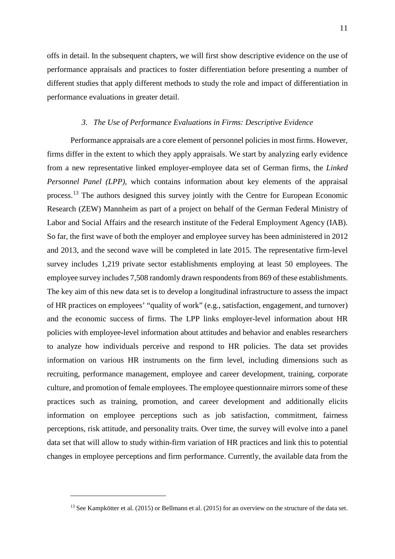offs in detail. In the subsequent chapters, we will first show descriptive evidence on the use of performance appraisals and practices to foster differentiation before presenting a number of different studies that apply different methods to study the role and impact of differentiation in performance evaluations in greater detail.

#### *3. The Use of Performance Evaluations in Firms: Descriptive Evidence*

Performance appraisals are a core element of personnel policies in most firms. However, firms differ in the extent to which they apply appraisals. We start by analyzing early evidence from a new representative linked employer-employee data set of German firms, the *Linked Personnel Panel (LPP)*, which contains information about key elements of the appraisal process.<sup>[13](#page-12-0)</sup> The authors designed this survey jointly with the Centre for European Economic Research (ZEW) Mannheim as part of a project on behalf of the German Federal Ministry of Labor and Social Affairs and the research institute of the Federal Employment Agency (IAB). So far, the first wave of both the employer and employee survey has been administered in 2012 and 2013, and the second wave will be completed in late 2015. The representative firm-level survey includes 1,219 private sector establishments employing at least 50 employees. The employee survey includes 7,508 randomly drawn respondents from 869 of these establishments. The key aim of this new data set is to develop a longitudinal infrastructure to assess the impact of HR practices on employees' "quality of work" (e.g., satisfaction, engagement, and turnover) and the economic success of firms. The LPP links employer-level information about HR policies with employee-level information about attitudes and behavior and enables researchers to analyze how individuals perceive and respond to HR policies. The data set provides information on various HR instruments on the firm level, including dimensions such as recruiting, performance management, employee and career development, training, corporate culture, and promotion of female employees. The employee questionnaire mirrors some of these practices such as training, promotion, and career development and additionally elicits information on employee perceptions such as job satisfaction, commitment, fairness perceptions, risk attitude, and personality traits. Over time, the survey will evolve into a panel data set that will allow to study within-firm variation of HR practices and link this to potential changes in employee perceptions and firm performance. Currently, the available data from the

<span id="page-12-0"></span><sup>&</sup>lt;sup>13</sup> See Kampkötter et al. (2015) or Bellmann et al. (2015) for an overview on the structure of the data set.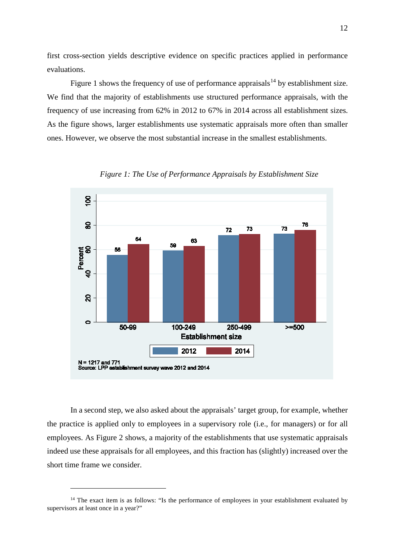first cross-section yields descriptive evidence on specific practices applied in performance evaluations.

Figure 1 shows the frequency of use of performance appraisals<sup>[14](#page-13-0)</sup> by establishment size. We find that the majority of establishments use structured performance appraisals, with the frequency of use increasing from 62% in 2012 to 67% in 2014 across all establishment sizes. As the figure shows, larger establishments use systematic appraisals more often than smaller ones. However, we observe the most substantial increase in the smallest establishments.



*Figure 1: The Use of Performance Appraisals by Establishment Size*

In a second step, we also asked about the appraisals' target group, for example, whether the practice is applied only to employees in a supervisory role (i.e., for managers) or for all employees. As [Figure 2](#page-14-0) shows, a majority of the establishments that use systematic appraisals indeed use these appraisals for all employees, and this fraction has (slightly) increased over the short time frame we consider.

<span id="page-13-0"></span><sup>&</sup>lt;sup>14</sup> The exact item is as follows: "Is the performance of employees in your establishment evaluated by supervisors at least once in a year?"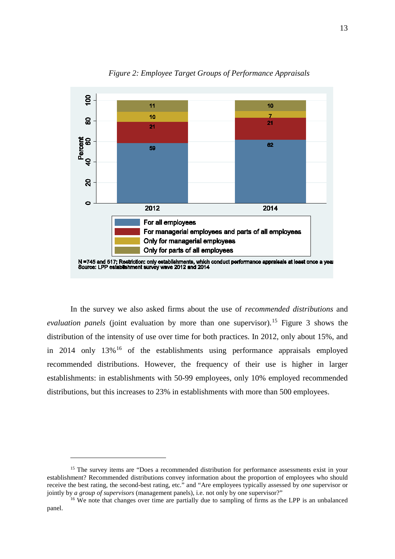<span id="page-14-0"></span>

*Figure 2: Employee Target Groups of Performance Appraisals*

In the survey we also asked firms about the use of *recommended distributions* and *evaluation panels* (joint evaluation by more than one supervisor). [15](#page-14-1) Figure 3 shows the distribution of the intensity of use over time for both practices. In 2012, only about 15%, and in 2014 only  $13\%$ <sup>[16](#page-14-2)</sup> of the establishments using performance appraisals employed recommended distributions. However, the frequency of their use is higher in larger establishments: in establishments with 50-99 employees, only 10% employed recommended distributions, but this increases to 23% in establishments with more than 500 employees.

<span id="page-14-1"></span><sup>&</sup>lt;sup>15</sup> The survey items are "Does a recommended distribution for performance assessments exist in your establishment? Recommended distributions convey information about the proportion of employees who should receive the best rating, the second-best rating, etc." and "Are employees typically assessed by *one* supervisor or jointly by *a group of supervisors* (management panels), i.e. not only by one supervisor?"

<span id="page-14-2"></span><sup>&</sup>lt;sup>16</sup> We note that changes over time are partially due to sampling of firms as the LPP is an unbalanced panel.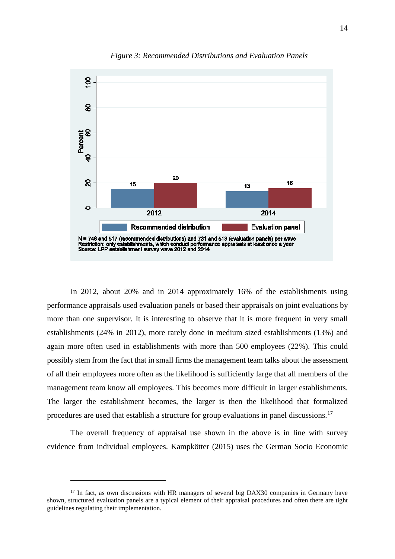

*Figure 3: Recommended Distributions and Evaluation Panels*

In 2012, about 20% and in 2014 approximately 16% of the establishments using performance appraisals used evaluation panels or based their appraisals on joint evaluations by more than one supervisor. It is interesting to observe that it is more frequent in very small establishments (24% in 2012), more rarely done in medium sized establishments (13%) and again more often used in establishments with more than 500 employees (22%). This could possibly stem from the fact that in small firms the management team talks about the assessment of all their employees more often as the likelihood is sufficiently large that all members of the management team know all employees. This becomes more difficult in larger establishments. The larger the establishment becomes, the larger is then the likelihood that formalized procedures are used that establish a structure for group evaluations in panel discussions.[17](#page-15-0)

The overall frequency of appraisal use shown in the above is in line with survey evidence from individual employees. Kampkötter (2015) uses the German Socio Economic

<span id="page-15-0"></span><sup>&</sup>lt;sup>17</sup> In fact, as own discussions with HR managers of several big DAX30 companies in Germany have shown, structured evaluation panels are a typical element of their appraisal procedures and often there are tight guidelines regulating their implementation.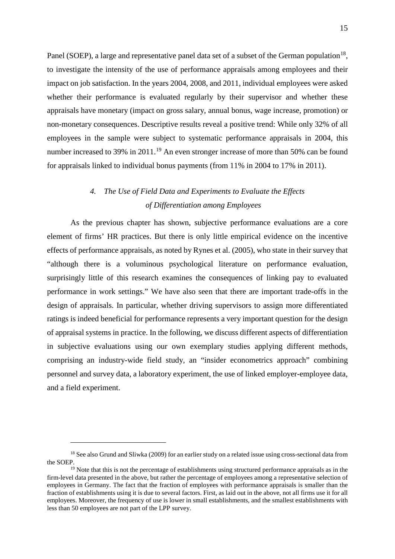Panel (SOEP), a large and representative panel data set of a subset of the German population<sup>18</sup>, to investigate the intensity of the use of performance appraisals among employees and their impact on job satisfaction. In the years 2004, 2008, and 2011, individual employees were asked whether their performance is evaluated regularly by their supervisor and whether these appraisals have monetary (impact on gross salary, annual bonus, wage increase, promotion) or non-monetary consequences. Descriptive results reveal a positive trend: While only 32% of all employees in the sample were subject to systematic performance appraisals in 2004, this number increased to 39% in 2011.<sup>[19](#page-16-1)</sup> An even stronger increase of more than 50% can be found for appraisals linked to individual bonus payments (from 11% in 2004 to 17% in 2011).

# *4. The Use of Field Data and Experiments to Evaluate the Effects of Differentiation among Employees*

As the previous chapter has shown, subjective performance evaluations are a core element of firms' HR practices. But there is only little empirical evidence on the incentive effects of performance appraisals, as noted by Rynes et al. (2005), who state in their survey that "although there is a voluminous psychological literature on performance evaluation, surprisingly little of this research examines the consequences of linking pay to evaluated performance in work settings." We have also seen that there are important trade-offs in the design of appraisals. In particular, whether driving supervisors to assign more differentiated ratings is indeed beneficial for performance represents a very important question for the design of appraisal systems in practice. In the following, we discuss different aspects of differentiation in subjective evaluations using our own exemplary studies applying different methods, comprising an industry-wide field study, an "insider econometrics approach" combining personnel and survey data, a laboratory experiment, the use of linked employer-employee data, and a field experiment.

<span id="page-16-0"></span><sup>&</sup>lt;sup>18</sup> See also Grund and Sliwka (2009) for an earlier study on a related issue using cross-sectional data from the SOEP.

<span id="page-16-1"></span> $19$  Note that this is not the percentage of establishments using structured performance appraisals as in the firm-level data presented in the above, but rather the percentage of employees among a representative selection of employees in Germany. The fact that the fraction of employees with performance appraisals is smaller than the fraction of establishments using it is due to several factors. First, as laid out in the above, not all firms use it for all employees. Moreover, the frequency of use is lower in small establishments, and the smallest establishments with less than 50 employees are not part of the LPP survey.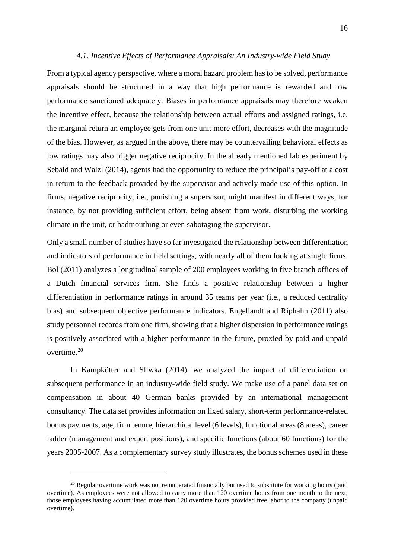#### *4.1. Incentive Effects of Performance Appraisals: An Industry-wide Field Study*

From a typical agency perspective, where a moral hazard problem has to be solved, performance appraisals should be structured in a way that high performance is rewarded and low performance sanctioned adequately. Biases in performance appraisals may therefore weaken the incentive effect, because the relationship between actual efforts and assigned ratings, i.e. the marginal return an employee gets from one unit more effort, decreases with the magnitude of the bias. However, as argued in the above, there may be countervailing behavioral effects as low ratings may also trigger negative reciprocity. In the already mentioned lab experiment by Sebald and Walzl (2014), agents had the opportunity to reduce the principal's pay-off at a cost in return to the feedback provided by the supervisor and actively made use of this option. In firms, negative reciprocity, i.e., punishing a supervisor, might manifest in different ways, for instance, by not providing sufficient effort, being absent from work, disturbing the working climate in the unit, or badmouthing or even sabotaging the supervisor.

Only a small number of studies have so far investigated the relationship between differentiation and indicators of performance in field settings, with nearly all of them looking at single firms. Bol (2011) analyzes a longitudinal sample of 200 employees working in five branch offices of a Dutch financial services firm. She finds a positive relationship between a higher differentiation in performance ratings in around 35 teams per year (i.e., a reduced centrality bias) and subsequent objective performance indicators. Engellandt and Riphahn (2011) also study personnel records from one firm, showing that a higher dispersion in performance ratings is positively associated with a higher performance in the future, proxied by paid and unpaid overtime.[20](#page-17-0)

In Kampkötter and Sliwka (2014), we analyzed the impact of differentiation on subsequent performance in an industry-wide field study. We make use of a panel data set on compensation in about 40 German banks provided by an international management consultancy. The data set provides information on fixed salary, short-term performance-related bonus payments, age, firm tenure, hierarchical level (6 levels), functional areas (8 areas), career ladder (management and expert positions), and specific functions (about 60 functions) for the years 2005-2007. As a complementary survey study illustrates, the bonus schemes used in these

<span id="page-17-0"></span> $20$  Regular overtime work was not remunerated financially but used to substitute for working hours (paid overtime). As employees were not allowed to carry more than 120 overtime hours from one month to the next, those employees having accumulated more than 120 overtime hours provided free labor to the company (unpaid overtime).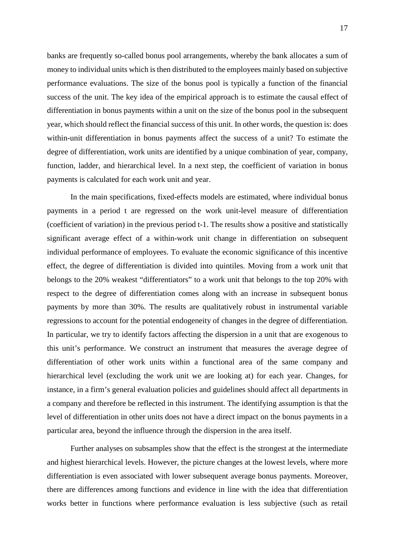banks are frequently so-called bonus pool arrangements, whereby the bank allocates a sum of money to individual units which is then distributed to the employees mainly based on subjective performance evaluations. The size of the bonus pool is typically a function of the financial success of the unit. The key idea of the empirical approach is to estimate the causal effect of differentiation in bonus payments within a unit on the size of the bonus pool in the subsequent year, which should reflect the financial success of this unit. In other words, the question is: does within-unit differentiation in bonus payments affect the success of a unit? To estimate the degree of differentiation, work units are identified by a unique combination of year, company, function, ladder, and hierarchical level. In a next step, the coefficient of variation in bonus payments is calculated for each work unit and year.

In the main specifications, fixed-effects models are estimated, where individual bonus payments in a period t are regressed on the work unit-level measure of differentiation (coefficient of variation) in the previous period t-1. The results show a positive and statistically significant average effect of a within-work unit change in differentiation on subsequent individual performance of employees. To evaluate the economic significance of this incentive effect, the degree of differentiation is divided into quintiles. Moving from a work unit that belongs to the 20% weakest "differentiators" to a work unit that belongs to the top 20% with respect to the degree of differentiation comes along with an increase in subsequent bonus payments by more than 30%. The results are qualitatively robust in instrumental variable regressions to account for the potential endogeneity of changes in the degree of differentiation. In particular, we try to identify factors affecting the dispersion in a unit that are exogenous to this unit's performance. We construct an instrument that measures the average degree of differentiation of other work units within a functional area of the same company and hierarchical level (excluding the work unit we are looking at) for each year. Changes, for instance, in a firm's general evaluation policies and guidelines should affect all departments in a company and therefore be reflected in this instrument. The identifying assumption is that the level of differentiation in other units does not have a direct impact on the bonus payments in a particular area, beyond the influence through the dispersion in the area itself.

Further analyses on subsamples show that the effect is the strongest at the intermediate and highest hierarchical levels. However, the picture changes at the lowest levels, where more differentiation is even associated with lower subsequent average bonus payments. Moreover, there are differences among functions and evidence in line with the idea that differentiation works better in functions where performance evaluation is less subjective (such as retail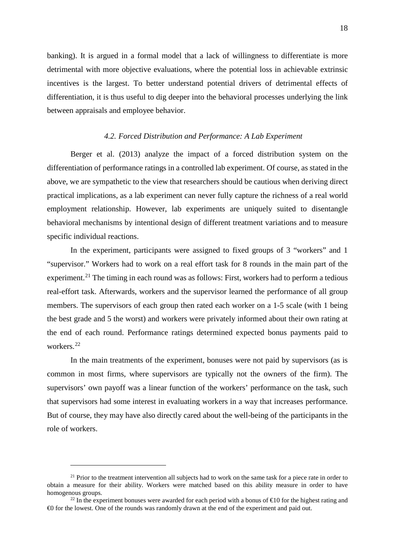banking). It is argued in a formal model that a lack of willingness to differentiate is more detrimental with more objective evaluations, where the potential loss in achievable extrinsic incentives is the largest. To better understand potential drivers of detrimental effects of differentiation, it is thus useful to dig deeper into the behavioral processes underlying the link between appraisals and employee behavior.

#### *4.2. Forced Distribution and Performance: A Lab Experiment*

Berger et al. (2013) analyze the impact of a forced distribution system on the differentiation of performance ratings in a controlled lab experiment. Of course, as stated in the above, we are sympathetic to the view that researchers should be cautious when deriving direct practical implications, as a lab experiment can never fully capture the richness of a real world employment relationship. However, lab experiments are uniquely suited to disentangle behavioral mechanisms by intentional design of different treatment variations and to measure specific individual reactions.

In the experiment, participants were assigned to fixed groups of 3 "workers" and 1 "supervisor." Workers had to work on a real effort task for 8 rounds in the main part of the experiment.<sup>[21](#page-19-0)</sup> The timing in each round was as follows: First, workers had to perform a tedious real-effort task. Afterwards, workers and the supervisor learned the performance of all group members. The supervisors of each group then rated each worker on a 1-5 scale (with 1 being the best grade and 5 the worst) and workers were privately informed about their own rating at the end of each round. Performance ratings determined expected bonus payments paid to workers. [22](#page-19-1)

In the main treatments of the experiment, bonuses were not paid by supervisors (as is common in most firms, where supervisors are typically not the owners of the firm). The supervisors' own payoff was a linear function of the workers' performance on the task, such that supervisors had some interest in evaluating workers in a way that increases performance. But of course, they may have also directly cared about the well-being of the participants in the role of workers.

<span id="page-19-0"></span><sup>&</sup>lt;sup>21</sup> Prior to the treatment intervention all subjects had to work on the same task for a piece rate in order to obtain a measure for their ability. Workers were matched based on this ability measure in order to have homogenous groups.

<span id="page-19-1"></span><sup>&</sup>lt;sup>22</sup> In the experiment bonuses were awarded for each period with a bonus of  $\epsilon$ 10 for the highest rating and €0 for the lowest. One of the rounds was randomly drawn at the end of the experiment and paid out.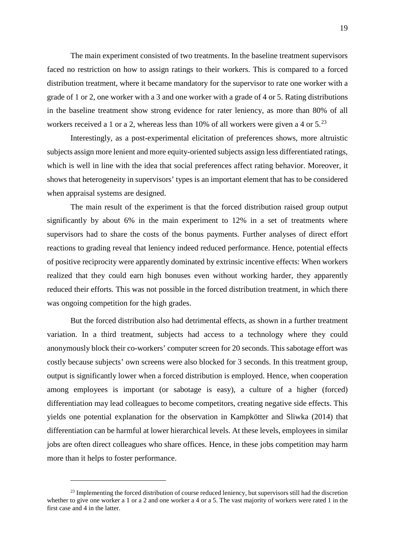The main experiment consisted of two treatments. In the baseline treatment supervisors faced no restriction on how to assign ratings to their workers. This is compared to a forced distribution treatment, where it became mandatory for the supervisor to rate one worker with a grade of 1 or 2, one worker with a 3 and one worker with a grade of 4 or 5. Rating distributions in the baseline treatment show strong evidence for rater leniency, as more than 80% of all workers received a 1 or a 2, whereas less than 10% of all workers were given a 4 or  $5.^{23}$  $5.^{23}$  $5.^{23}$ 

Interestingly, as a post-experimental elicitation of preferences shows, more altruistic subjects assign more lenient and more equity-oriented subjects assign less differentiated ratings, which is well in line with the idea that social preferences affect rating behavior. Moreover, it shows that heterogeneity in supervisors' types is an important element that has to be considered when appraisal systems are designed.

The main result of the experiment is that the forced distribution raised group output significantly by about 6% in the main experiment to 12% in a set of treatments where supervisors had to share the costs of the bonus payments. Further analyses of direct effort reactions to grading reveal that leniency indeed reduced performance. Hence, potential effects of positive reciprocity were apparently dominated by extrinsic incentive effects: When workers realized that they could earn high bonuses even without working harder, they apparently reduced their efforts. This was not possible in the forced distribution treatment, in which there was ongoing competition for the high grades.

But the forced distribution also had detrimental effects, as shown in a further treatment variation. In a third treatment, subjects had access to a technology where they could anonymously block their co-workers' computer screen for 20 seconds. This sabotage effort was costly because subjects' own screens were also blocked for 3 seconds. In this treatment group, output is significantly lower when a forced distribution is employed. Hence, when cooperation among employees is important (or sabotage is easy), a culture of a higher (forced) differentiation may lead colleagues to become competitors, creating negative side effects. This yields one potential explanation for the observation in Kampkötter and Sliwka (2014) that differentiation can be harmful at lower hierarchical levels. At these levels, employees in similar jobs are often direct colleagues who share offices. Hence, in these jobs competition may harm more than it helps to foster performance.

<span id="page-20-0"></span><sup>&</sup>lt;sup>23</sup> Implementing the forced distribution of course reduced leniency, but supervisors still had the discretion whether to give one worker a 1 or a 2 and one worker a 4 or a 5. The vast majority of workers were rated 1 in the first case and 4 in the latter.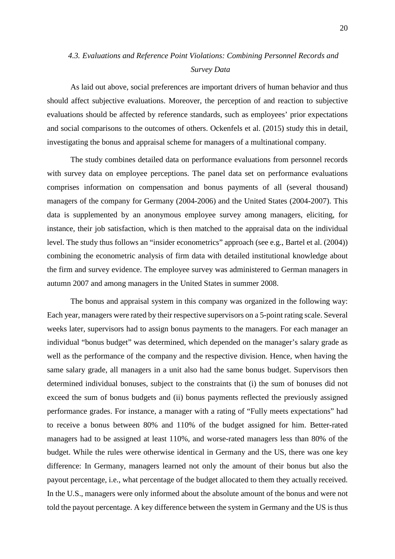## *4.3. Evaluations and Reference Point Violations: Combining Personnel Records and Survey Data*

As laid out above, social preferences are important drivers of human behavior and thus should affect subjective evaluations. Moreover, the perception of and reaction to subjective evaluations should be affected by reference standards, such as employees' prior expectations and social comparisons to the outcomes of others. Ockenfels et al. (2015) study this in detail, investigating the bonus and appraisal scheme for managers of a multinational company.

The study combines detailed data on performance evaluations from personnel records with survey data on employee perceptions. The panel data set on performance evaluations comprises information on compensation and bonus payments of all (several thousand) managers of the company for Germany (2004-2006) and the United States (2004-2007). This data is supplemented by an anonymous employee survey among managers, eliciting, for instance, their job satisfaction, which is then matched to the appraisal data on the individual level. The study thus follows an "insider econometrics" approach (see e.g., Bartel et al. (2004)) combining the econometric analysis of firm data with detailed institutional knowledge about the firm and survey evidence. The employee survey was administered to German managers in autumn 2007 and among managers in the United States in summer 2008.

The bonus and appraisal system in this company was organized in the following way: Each year, managers were rated by their respective supervisors on a 5-point rating scale. Several weeks later, supervisors had to assign bonus payments to the managers. For each manager an individual "bonus budget" was determined, which depended on the manager's salary grade as well as the performance of the company and the respective division. Hence, when having the same salary grade, all managers in a unit also had the same bonus budget. Supervisors then determined individual bonuses, subject to the constraints that (i) the sum of bonuses did not exceed the sum of bonus budgets and (ii) bonus payments reflected the previously assigned performance grades. For instance, a manager with a rating of "Fully meets expectations" had to receive a bonus between 80% and 110% of the budget assigned for him. Better-rated managers had to be assigned at least 110%, and worse-rated managers less than 80% of the budget. While the rules were otherwise identical in Germany and the US, there was one key difference: In Germany, managers learned not only the amount of their bonus but also the payout percentage, i.e., what percentage of the budget allocated to them they actually received. In the U.S., managers were only informed about the absolute amount of the bonus and were not told the payout percentage. A key difference between the system in Germany and the US is thus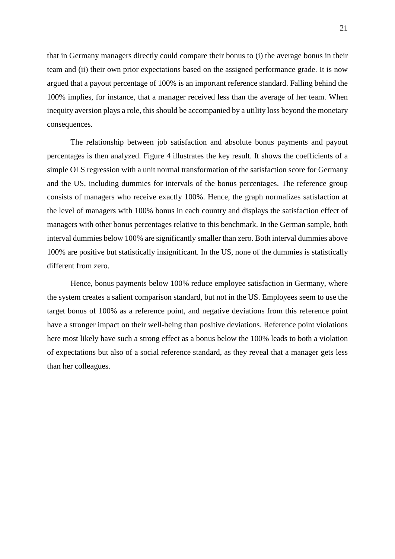that in Germany managers directly could compare their bonus to (i) the average bonus in their team and (ii) their own prior expectations based on the assigned performance grade. It is now argued that a payout percentage of 100% is an important reference standard. Falling behind the 100% implies, for instance, that a manager received less than the average of her team. When inequity aversion plays a role, this should be accompanied by a utility loss beyond the monetary consequences.

The relationship between job satisfaction and absolute bonus payments and payout percentages is then analyzed. [Figure 4](#page-23-0) illustrates the key result. It shows the coefficients of a simple OLS regression with a unit normal transformation of the satisfaction score for Germany and the US, including dummies for intervals of the bonus percentages. The reference group consists of managers who receive exactly 100%. Hence, the graph normalizes satisfaction at the level of managers with 100% bonus in each country and displays the satisfaction effect of managers with other bonus percentages relative to this benchmark. In the German sample, both interval dummies below 100% are significantly smaller than zero. Both interval dummies above 100% are positive but statistically insignificant. In the US, none of the dummies is statistically different from zero.

Hence, bonus payments below 100% reduce employee satisfaction in Germany, where the system creates a salient comparison standard, but not in the US. Employees seem to use the target bonus of 100% as a reference point, and negative deviations from this reference point have a stronger impact on their well-being than positive deviations. Reference point violations here most likely have such a strong effect as a bonus below the 100% leads to both a violation of expectations but also of a social reference standard, as they reveal that a manager gets less than her colleagues.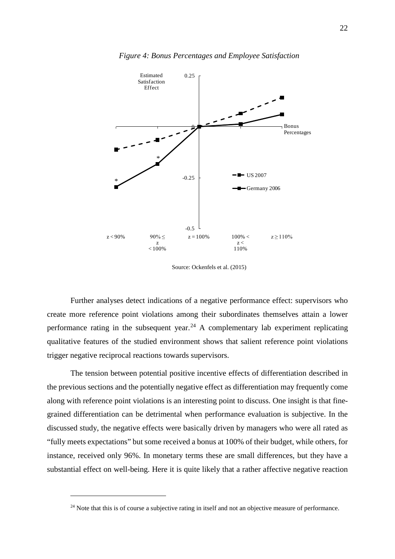<span id="page-23-0"></span>

Source: Ockenfels et al. (2015)

Further analyses detect indications of a negative performance effect: supervisors who create more reference point violations among their subordinates themselves attain a lower performance rating in the subsequent year.<sup>[24](#page-23-1)</sup> A complementary lab experiment replicating qualitative features of the studied environment shows that salient reference point violations trigger negative reciprocal reactions towards supervisors.

The tension between potential positive incentive effects of differentiation described in the previous sections and the potentially negative effect as differentiation may frequently come along with reference point violations is an interesting point to discuss. One insight is that finegrained differentiation can be detrimental when performance evaluation is subjective. In the discussed study, the negative effects were basically driven by managers who were all rated as "fully meets expectations" but some received a bonus at 100% of their budget, while others, for instance, received only 96%. In monetary terms these are small differences, but they have a substantial effect on well-being. Here it is quite likely that a rather affective negative reaction

<span id="page-23-1"></span><sup>&</sup>lt;sup>24</sup> Note that this is of course a subjective rating in itself and not an objective measure of performance.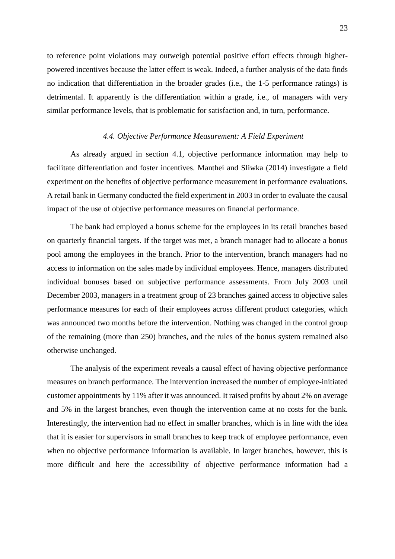to reference point violations may outweigh potential positive effort effects through higherpowered incentives because the latter effect is weak. Indeed, a further analysis of the data finds no indication that differentiation in the broader grades (i.e., the 1-5 performance ratings) is detrimental. It apparently is the differentiation within a grade, i.e., of managers with very similar performance levels, that is problematic for satisfaction and, in turn, performance.

#### *4.4. Objective Performance Measurement: A Field Experiment*

As already argued in section 4.1, objective performance information may help to facilitate differentiation and foster incentives. Manthei and Sliwka (2014) investigate a field experiment on the benefits of objective performance measurement in performance evaluations. A retail bank in Germany conducted the field experiment in 2003 in order to evaluate the causal impact of the use of objective performance measures on financial performance.

The bank had employed a bonus scheme for the employees in its retail branches based on quarterly financial targets. If the target was met, a branch manager had to allocate a bonus pool among the employees in the branch. Prior to the intervention, branch managers had no access to information on the sales made by individual employees. Hence, managers distributed individual bonuses based on subjective performance assessments. From July 2003 until December 2003, managers in a treatment group of 23 branches gained access to objective sales performance measures for each of their employees across different product categories, which was announced two months before the intervention. Nothing was changed in the control group of the remaining (more than 250) branches, and the rules of the bonus system remained also otherwise unchanged.

The analysis of the experiment reveals a causal effect of having objective performance measures on branch performance. The intervention increased the number of employee-initiated customer appointments by 11% after it was announced. It raised profits by about 2% on average and 5% in the largest branches, even though the intervention came at no costs for the bank. Interestingly, the intervention had no effect in smaller branches, which is in line with the idea that it is easier for supervisors in small branches to keep track of employee performance, even when no objective performance information is available. In larger branches, however, this is more difficult and here the accessibility of objective performance information had a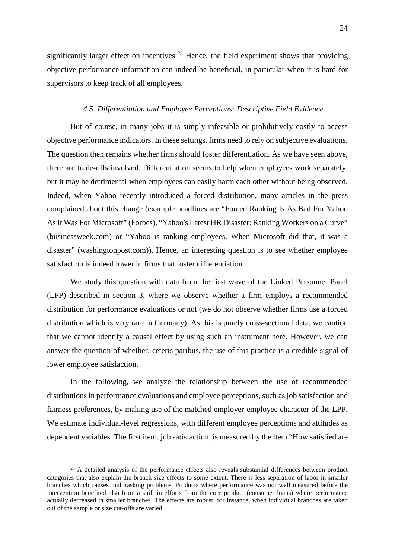significantly larger effect on incentives.<sup>[25](#page-25-0)</sup> Hence, the field experiment shows that providing objective performance information can indeed be beneficial, in particular when it is hard for supervisors to keep track of all employees.

#### *4.5. Differentiation and Employee Perceptions: Descriptive Field Evidence*

But of course, in many jobs it is simply infeasible or prohibitively costly to access objective performance indicators. In these settings, firms need to rely on subjective evaluations. The question then remains whether firms should foster differentiation. As we have seen above, there are trade-offs involved. Differentiation seems to help when employees work separately, but it may be detrimental when employees can easily harm each other without being observed. Indeed, when Yahoo recently introduced a forced distribution, many articles in the press complained about this change (example headlines are "Forced Ranking Is As Bad For Yahoo As It Was For Microsoft" (Forbes), "Yahoo's Latest HR Disaster: Ranking Workers on a Curve" (businessweek.com) or "Yahoo is ranking employees. When Microsoft did that, it was a disaster" (washingtonpost.com)). Hence, an interesting question is to see whether employee satisfaction is indeed lower in firms that foster differentiation.

We study this question with data from the first wave of the Linked Personnel Panel (LPP) described in section 3, where we observe whether a firm employs a recommended distribution for performance evaluations or not (we do not observe whether firms use a forced distribution which is very rare in Germany). As this is purely cross-sectional data, we caution that we cannot identify a causal effect by using such an instrument here. However, we can answer the question of whether, ceteris paribus, the use of this practice is a credible signal of lower employee satisfaction.

In the following, we analyze the relationship between the use of recommended distributions in performance evaluations and employee perceptions, such as job satisfaction and fairness preferences, by making use of the matched employer-employee character of the LPP. We estimate individual-level regressions, with different employee perceptions and attitudes as dependent variables. The first item, job satisfaction, is measured by the item "How satisfied are

<span id="page-25-0"></span> $25$  A detailed analysis of the performance effects also reveals substantial differences between product categories that also explain the branch size effects to some extent. There is less separation of labor in smaller branches which causes multitasking problems. Products where performance was not well measured before the intervention benefited also from a shift in efforts from the core product (consumer loans) where performance actually decreased in smaller branches. The effects are robust, for instance, when individual branches are taken out of the sample or size cut-offs are varied.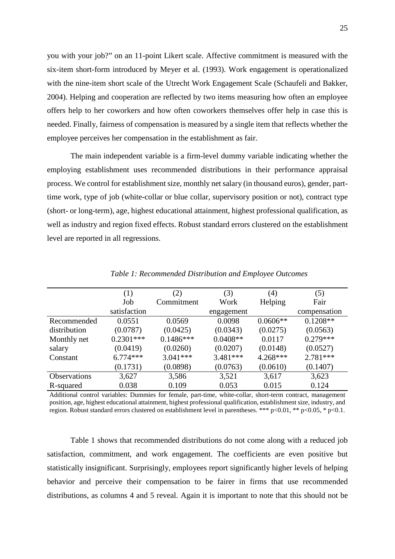you with your job?" on an 11-point Likert scale. Affective commitment is measured with the six-item short-form introduced by Meyer et al. (1993). Work engagement is operationalized with the nine-item short scale of the Utrecht Work Engagement Scale (Schaufeli and Bakker, 2004). Helping and cooperation are reflected by two items measuring how often an employee offers help to her coworkers and how often coworkers themselves offer help in case this is needed. Finally, fairness of compensation is measured by a single item that reflects whether the employee perceives her compensation in the establishment as fair.

The main independent variable is a firm-level dummy variable indicating whether the employing establishment uses recommended distributions in their performance appraisal process. We control for establishment size, monthly net salary (in thousand euros), gender, parttime work, type of job (white-collar or blue collar, supervisory position or not), contract type (short- or long-term), age, highest educational attainment, highest professional qualification, as well as industry and region fixed effects. Robust standard errors clustered on the establishment level are reported in all regressions.

<span id="page-26-0"></span>

|                     | (1)          | (2)         | (3)        | (4)        | (5)          |
|---------------------|--------------|-------------|------------|------------|--------------|
|                     | Job          | Commitment  | Work       | Helping    | Fair         |
|                     | satisfaction |             | engagement |            | compensation |
| Recommended         | 0.0551       | 0.0569      | 0.0098     | $0.0606**$ | $0.1208**$   |
| distribution        | (0.0787)     | (0.0425)    | (0.0343)   | (0.0275)   | (0.0563)     |
| Monthly net         | $0.2301***$  | $0.1486***$ | $0.0408**$ | 0.0117     | $0.279***$   |
| salary              | (0.0419)     | (0.0260)    | (0.0207)   | (0.0148)   | (0.0527)     |
| Constant            | $6.774***$   | $3.041***$  | 3.481 ***  | 4.268***   | $2.781***$   |
|                     | (0.1731)     | (0.0898)    | (0.0763)   | (0.0610)   | (0.1407)     |
| <b>Observations</b> | 3,627        | 3,586       | 3,521      | 3,617      | 3,623        |
| R-squared           | 0.038        | 0.109       | 0.053      | 0.015      | 0.124        |

*Table 1: Recommended Distribution and Employee Outcomes*

Additional control variables: Dummies for female, part-time, white-collar, short-term contract, management position, age, highest educational attainment, highest professional qualification, establishment size, industry, and region. Robust standard errors clustered on establishment level in parentheses. \*\*\* p<0.01, \*\* p<0.05, \* p<0.1.

[Table 1](#page-26-0) shows that recommended distributions do not come along with a reduced job satisfaction, commitment, and work engagement. The coefficients are even positive but statistically insignificant. Surprisingly, employees report significantly higher levels of helping behavior and perceive their compensation to be fairer in firms that use recommended distributions, as columns 4 and 5 reveal. Again it is important to note that this should not be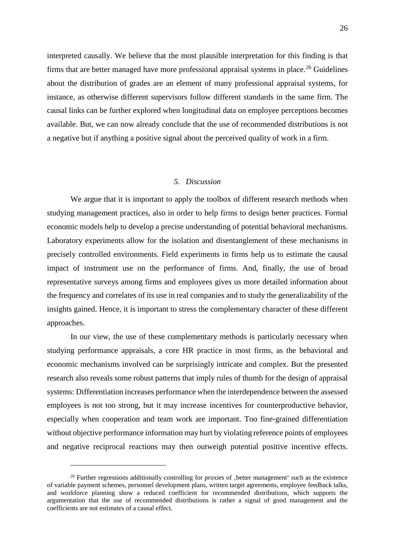interpreted causally. We believe that the most plausible interpretation for this finding is that firms that are better managed have more professional appraisal systems in place.<sup>[26](#page-27-0)</sup> Guidelines about the distribution of grades are an element of many professional appraisal systems, for instance, as otherwise different supervisors follow different standards in the same firm. The causal links can be further explored when longitudinal data on employee perceptions becomes available. But, we can now already conclude that the use of recommended distributions is not a negative but if anything a positive signal about the perceived quality of work in a firm.

#### *5. Discussion*

We argue that it is important to apply the toolbox of different research methods when studying management practices, also in order to help firms to design better practices. Formal economic models help to develop a precise understanding of potential behavioral mechanisms. Laboratory experiments allow for the isolation and disentanglement of these mechanisms in precisely controlled environments. Field experiments in firms help us to estimate the causal impact of instrument use on the performance of firms. And, finally, the use of broad representative surveys among firms and employees gives us more detailed information about the frequency and correlates of its use in real companies and to study the generalizability of the insights gained. Hence, it is important to stress the complementary character of these different approaches.

In our view, the use of these complementary methods is particularly necessary when studying performance appraisals, a core HR practice in most firms, as the behavioral and economic mechanisms involved can be surprisingly intricate and complex. But the presented research also reveals some robust patterns that imply rules of thumb for the design of appraisal systems: Differentiation increases performance when the interdependence between the assessed employees is not too strong, but it may increase incentives for counterproductive behavior, especially when cooperation and team work are important. Too fine-grained differentiation without objective performance information may hurt by violating reference points of employees and negative reciprocal reactions may then outweigh potential positive incentive effects.

<span id="page-27-0"></span><sup>&</sup>lt;sup>26</sup> Further regressions additionally controlling for proxies of , better management' such as the existence of variable payment schemes, personnel development plans, written target agreements, employee feedback talks, and workforce planning show a reduced coefficient for recommended distributions, which supports the argumentation that the use of recommended distributions is rather a signal of good management and the coefficients are not estimates of a causal effect.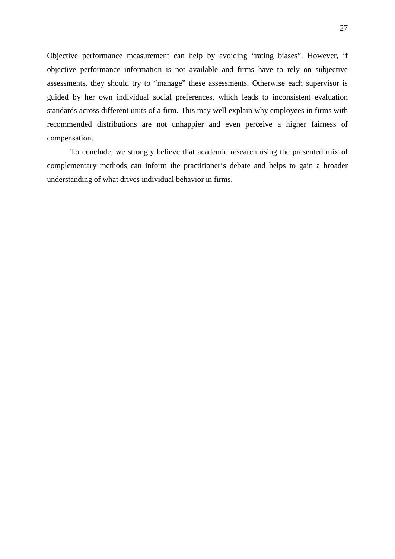Objective performance measurement can help by avoiding "rating biases". However, if objective performance information is not available and firms have to rely on subjective assessments, they should try to "manage" these assessments. Otherwise each supervisor is guided by her own individual social preferences, which leads to inconsistent evaluation standards across different units of a firm. This may well explain why employees in firms with recommended distributions are not unhappier and even perceive a higher fairness of compensation.

To conclude, we strongly believe that academic research using the presented mix of complementary methods can inform the practitioner's debate and helps to gain a broader understanding of what drives individual behavior in firms.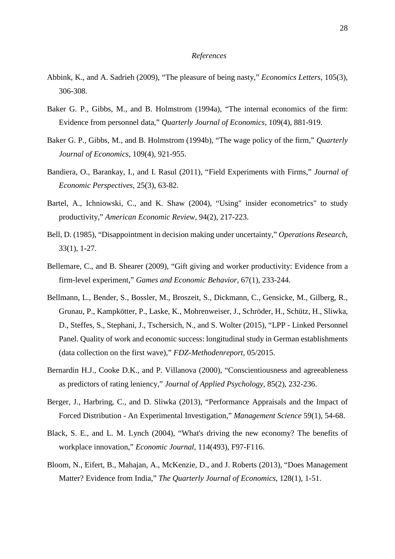#### *References*

- Abbink, K., and A. Sadrieh (2009), "The pleasure of being nasty," *Economics Letters*, 105(3), 306-308.
- Baker G. P., Gibbs, M., and B. Holmstrom (1994a), "The internal economics of the firm: Evidence from personnel data," *Quarterly Journal of Economics*, 109(4), 881-919.
- Baker G. P., Gibbs, M., and B. Holmstrom (1994b), "The wage policy of the firm," *Quarterly Journal of Economics*, 109(4), 921-955.
- Bandiera, O., Barankay, I., and I. Rasul (2011), "Field Experiments with Firms," *Journal of Economic Perspectives*, 25(3), 63-82.
- Bartel, A., Ichniowski, C., and K. Shaw (2004), "Using" insider econometrics" to study productivity," *American Economic Review*, 94(2), 217-223.
- Bell, D. (1985), "Disappointment in decision making under uncertainty," *Operations Research*, 33(1), 1-27.
- Bellemare, C., and B. Shearer (2009), "Gift giving and worker productivity: Evidence from a firm-level experiment," *Games and Economic Behavior*, 67(1), 233-244.
- Bellmann, L., Bender, S., Bossler, M., Broszeit, S., Dickmann, C., Gensicke, M., Gilberg, R., Grunau, P., Kampkötter, P., Laske, K., Mohrenweiser, J., Schröder, H., Schütz, H., Sliwka, D., Steffes, S., Stephani, J., Tschersich, N., and S. Wolter (2015), "LPP - Linked Personnel Panel. Quality of work and economic success: longitudinal study in German establishments (data collection on the first wave)," *FDZ-Methodenreport*, 05/2015.
- Bernardin H.J., Cooke D.K., and P. Villanova (2000), "Conscientiousness and agreeableness as predictors of rating leniency," *Journal of Applied Psychology*, 85(2), 232-236.
- Berger, J., Harbring, C., and D. Sliwka (2013), "Performance Appraisals and the Impact of Forced Distribution - An Experimental Investigation," *Management Science* 59(1), 54-68.
- Black, S. E., and L. M. Lynch (2004), "What's driving the new economy? The benefits of workplace innovation," *Economic Journal*, 114(493), F97-F116.
- Bloom, N., Eifert, B., Mahajan, A., McKenzie, D., and J. Roberts (2013), "Does Management Matter? Evidence from India," *The Quarterly Journal of Economics*, 128(1), 1-51.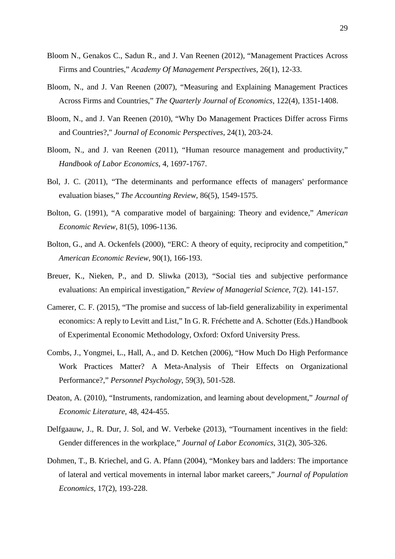- Bloom N., Genakos C., Sadun R., and J. Van Reenen (2012), "Management Practices Across Firms and Countries," *Academy Of Management Perspectives*, 26(1), 12-33.
- Bloom, N., and J. Van Reenen (2007), "Measuring and Explaining Management Practices Across Firms and Countries," *The Quarterly Journal of Economics*, 122(4), 1351-1408.
- Bloom, N., and J. Van Reenen (2010), "Why Do Management Practices Differ across Firms and Countries?," *Journal of Economic Perspectives*, 24(1), 203-24.
- Bloom, N., and J. van Reenen (2011), "Human resource management and productivity," *Handbook of Labor Economics*, 4, 1697-1767.
- Bol, J. C. (2011), "The determinants and performance effects of managers' performance evaluation biases," *The Accounting Review*, 86(5), 1549-1575.
- Bolton, G. (1991), "A comparative model of bargaining: Theory and evidence," *American Economic Review*, 81(5), 1096-1136.
- Bolton, G., and A. Ockenfels (2000), "ERC: A theory of equity, reciprocity and competition," *American Economic Review*, 90(1), 166-193.
- Breuer, K., Nieken, P., and D. Sliwka (2013), "Social ties and subjective performance evaluations: An empirical investigation," *Review of Managerial Science*, 7(2). 141-157.
- Camerer, C. F. (2015), "The promise and success of lab-field generalizability in experimental economics: A reply to Levitt and List," In G. R. Fréchette and A. Schotter (Eds.) Handbook of Experimental Economic Methodology, Oxford: Oxford University Press.
- Combs, J., Yongmei, L., Hall, A., and D. Ketchen (2006), "How Much Do High Performance Work Practices Matter? A Meta-Analysis of Their Effects on Organizational Performance?," *Personnel Psychology*, 59(3), 501-528.
- Deaton, A. (2010), "Instruments, randomization, and learning about development," *Journal of Economic Literature*, 48, 424-455.
- Delfgaauw, J., R. Dur, J. Sol, and W. Verbeke (2013), "Tournament incentives in the field: Gender differences in the workplace," *Journal of Labor Economics*, 31(2), 305-326.
- Dohmen, T., B. Kriechel, and G. A. Pfann (2004), "Monkey bars and ladders: The importance of lateral and vertical movements in internal labor market careers," *Journal of Population Economics*, 17(2), 193-228.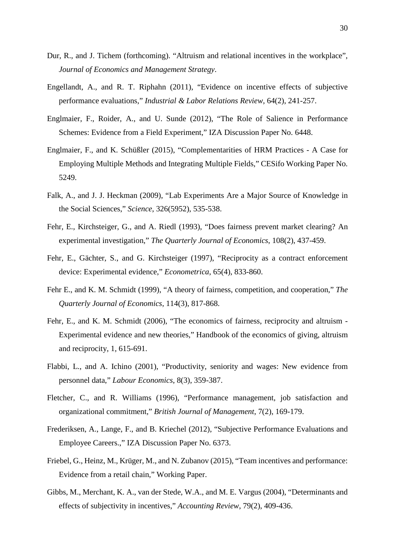- Dur, R., and J. Tichem (forthcoming). "Altruism and relational incentives in the workplace", *Journal of Economics and Management Strategy*.
- Engellandt, A., and R. T. Riphahn (2011), "Evidence on incentive effects of subjective performance evaluations," *Industrial & Labor Relations Review*, 64(2), 241-257.
- Englmaier, F., Roider, A., and U. Sunde (2012), "The Role of Salience in Performance Schemes: Evidence from a Field Experiment," IZA Discussion Paper No. 6448.
- Englmaier, F., and K. Schüßler (2015), "Complementarities of HRM Practices A Case for Employing Multiple Methods and Integrating Multiple Fields," CESifo Working Paper No. 5249.
- Falk, A., and J. J. Heckman (2009), "Lab Experiments Are a Major Source of Knowledge in the Social Sciences," *Science*, 326(5952), 535-538.
- Fehr, E., Kirchsteiger, G., and A. Riedl (1993), "Does fairness prevent market clearing? An experimental investigation," *The Quarterly Journal of Economics*, 108(2), 437-459.
- Fehr, E., Gächter, S., and G. Kirchsteiger (1997), "Reciprocity as a contract enforcement device: Experimental evidence," *Econometrica*, 65(4), 833-860.
- Fehr E., and K. M. Schmidt (1999), "A theory of fairness, competition, and cooperation," *The Quarterly Journal of Economics*, 114(3), 817-868.
- Fehr, E., and K. M. Schmidt (2006), "The economics of fairness, reciprocity and altruism Experimental evidence and new theories," Handbook of the economics of giving, altruism and reciprocity, 1, 615-691.
- Flabbi, L., and A. Ichino (2001), "Productivity, seniority and wages: New evidence from personnel data," *Labour Economics*, 8(3), 359-387.
- Fletcher, C., and R. Williams (1996), "Performance management, job satisfaction and organizational commitment," *British Journal of Management*, 7(2), 169-179.
- Frederiksen, A., Lange, F., and B. Kriechel (2012), "Subjective Performance Evaluations and Employee Careers.," IZA Discussion Paper No. 6373.
- Friebel, G., Heinz, M., Krüger, M., and N. Zubanov (2015), "Team incentives and performance: Evidence from a retail chain," Working Paper.
- Gibbs, M., Merchant, K. A., van der Stede, W.A., and M. E. Vargus (2004), "Determinants and effects of subjectivity in incentives," *Accounting Review*, 79(2), 409-436.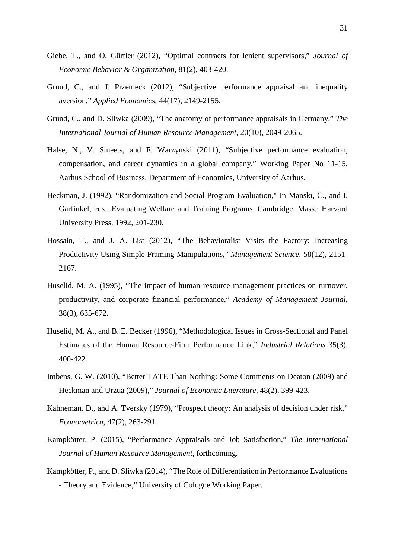- Giebe, T., and O. Gürtler (2012), "Optimal contracts for lenient supervisors," *Journal of Economic Behavior & Organization*, 81(2), 403-420.
- Grund, C., and J. Przemeck (2012), "Subjective performance appraisal and inequality aversion," *Applied Economics*, 44(17), 2149-2155.
- Grund, C., and D. Sliwka (2009), "The anatomy of performance appraisals in Germany," *The International Journal of Human Resource Management*, 20(10), 2049-2065.
- Halse, N., V. Smeets, and F. Warzynski (2011), "Subjective performance evaluation, compensation, and career dynamics in a global company," Working Paper No 11-15, Aarhus School of Business, Department of Economics, University of Aarhus.
- Heckman, J. (1992), "Randomization and Social Program Evaluation," In Manski, C., and I. Garfinkel, eds., Evaluating Welfare and Training Programs. Cambridge, Mass.: Harvard University Press, 1992, 201-230.
- Hossain, T., and J. A. List (2012), "The Behavioralist Visits the Factory: Increasing Productivity Using Simple Framing Manipulations," *Management Science*, 58(12), 2151- 2167.
- Huselid, M. A. (1995), "The impact of human resource management practices on turnover, productivity, and corporate financial performance," *Academy of Management Journal*, 38(3), 635-672.
- Huselid, M. A., and B. E. Becker (1996), "Methodological Issues in Cross‐Sectional and Panel Estimates of the Human Resource‐Firm Performance Link," *Industrial Relations* 35(3), 400-422.
- Imbens, G. W. (2010), "Better LATE Than Nothing: Some Comments on Deaton (2009) and Heckman and Urzua (2009)," *Journal of Economic Literature*, 48(2), 399-423.
- Kahneman, D., and A. Tversky (1979), "Prospect theory: An analysis of decision under risk," *Econometrica*, 47(2), 263-291.
- Kampkötter, P. (2015), "Performance Appraisals and Job Satisfaction," *The International Journal of Human Resource Management*, forthcoming.
- Kampkötter, P., and D. Sliwka (2014), "The Role of Differentiation in Performance Evaluations - Theory and Evidence," University of Cologne Working Paper.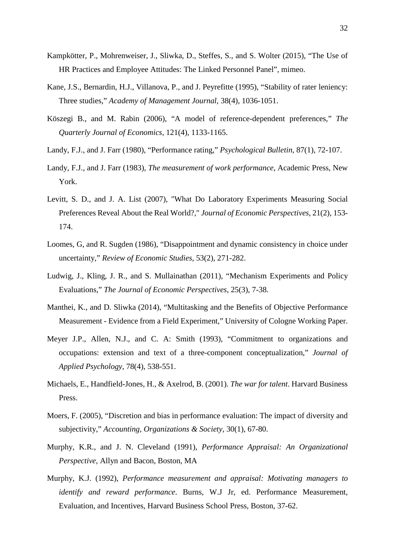- Kampkötter, P., Mohrenweiser, J., Sliwka, D., Steffes, S., and S. Wolter (2015), "The Use of HR Practices and Employee Attitudes: The Linked Personnel Panel", mimeo.
- Kane, J.S., Bernardin, H.J., Villanova, P., and J. Peyrefitte (1995), "Stability of rater leniency: Three studies," *Academy of Management Journal*, 38(4), 1036-1051.
- Köszegi B., and M. Rabin (2006), "A model of reference-dependent preferences," *The Quarterly Journal of Economics,* 121(4), 1133-1165.
- Landy, F.J., and J. Farr (1980), "Performance rating," *Psychological Bulletin*, 87(1), 72-107.
- Landy, F.J., and J. Farr (1983), *The measurement of work performance*, Academic Press, New York.
- Levitt, S. D., and J. A. List (2007), "What Do Laboratory Experiments Measuring Social Preferences Reveal About the Real World?," *Journal of Economic Perspectives*, 21(2), 153- 174.
- Loomes, G, and R. Sugden (1986), "Disappointment and dynamic consistency in choice under uncertainty," *Review of Economic Studies*, 53(2), 271-282.
- Ludwig, J., Kling, J. R., and S. Mullainathan (2011), "Mechanism Experiments and Policy Evaluations," *The Journal of Economic Perspectives*, 25(3), 7-38.
- Manthei, K., and D. Sliwka (2014), "Multitasking and the Benefits of Objective Performance Measurement - Evidence from a Field Experiment," University of Cologne Working Paper.
- Meyer J.P., Allen, N.J., and C. A: Smith (1993), "Commitment to organizations and occupations: extension and text of a three-component conceptualization," *Journal of Applied Psychology*, 78(4), 538-551.
- Michaels, E., Handfield-Jones, H., & Axelrod, B. (2001). *The war for talent*. Harvard Business Press.
- Moers, F. (2005), "Discretion and bias in performance evaluation: The impact of diversity and subjectivity," *Accounting, Organizations & Society*, 30(1), 67-80.
- Murphy, K.R., and J. N. Cleveland (1991), *Performance Appraisal: An Organizational Perspective*, Allyn and Bacon, Boston, MA
- Murphy, K.J. (1992), *Performance measurement and appraisal: Motivating managers to identify and reward performance*. Burns, W.J Jr, ed. Performance Measurement, Evaluation, and Incentives, Harvard Business School Press, Boston, 37-62.